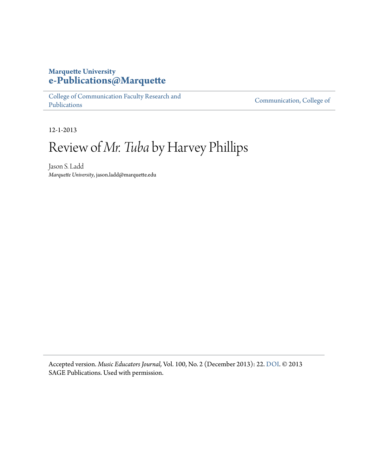## **Marquette University [e-Publications@Marquette](https://epublications.marquette.edu)**

[College of Communication Faculty Research and](https://epublications.marquette.edu/comm_fac) [Publications](https://epublications.marquette.edu/comm_fac)

[Communication, College of](https://epublications.marquette.edu/communication)

12-1-2013

## Review of *Mr. Tuba* by Harvey Phillips

Jason S. Ladd *Marquette University*, jason.ladd@marquette.edu

Accepted version. *Music Educators Journal,* Vol. 100, No. 2 (December 2013): 22. [DOI.](http://dx.doi.org/10.1177/0027432113506841) © 2013 SAGE Publications. Used with permission.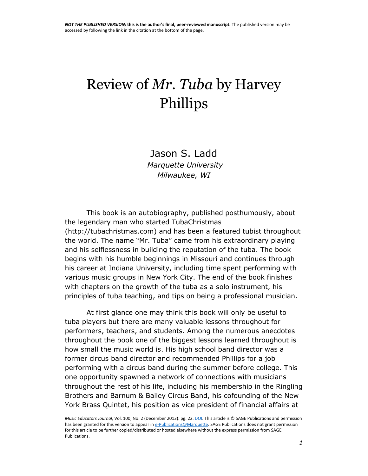## Review of *Mr. Tuba* by Harvey Phillips

Jason S. Ladd *Marquette University Milwaukee, WI*

This book is an autobiography, published posthumously, about the legendary man who started TubaChristmas [\(http://tubachristmas.com\)](http://tubachristmas.com/) and has been a featured tubist throughout the world. The name "Mr. Tuba" came from his extraordinary playing and his selflessness in building the reputation of the tuba. The book begins with his humble beginnings in Missouri and continues through his career at Indiana University, including time spent performing with various music groups in New York City. The end of the book finishes with chapters on the growth of the tuba as a solo instrument, his principles of tuba teaching, and tips on being a professional musician.

At first glance one may think this book will only be useful to tuba players but there are many valuable lessons throughout for performers, teachers, and students. Among the numerous anecdotes throughout the book one of the biggest lessons learned throughout is how small the music world is. His high school band director was a former circus band director and recommended Phillips for a job performing with a circus band during the summer before college. This one opportunity spawned a network of connections with musicians throughout the rest of his life, including his membership in the Ringling Brothers and Barnum & Bailey Circus Band, his cofounding of the New York Brass Quintet, his position as vice president of financial affairs at

*Music Educators Journal*, Vol. 100, No. 2 (December 2013): pg. 22[. DOI.](http://dx.doi.org/10.1177/0027432113506841) This article is © SAGE Publications and permission has been granted for this version to appear i[n e-Publications@Marquette.](http://epublications.marquette.edu/) SAGE Publications does not grant permission for this article to be further copied/distributed or hosted elsewhere without the express permission from SAGE Publications.